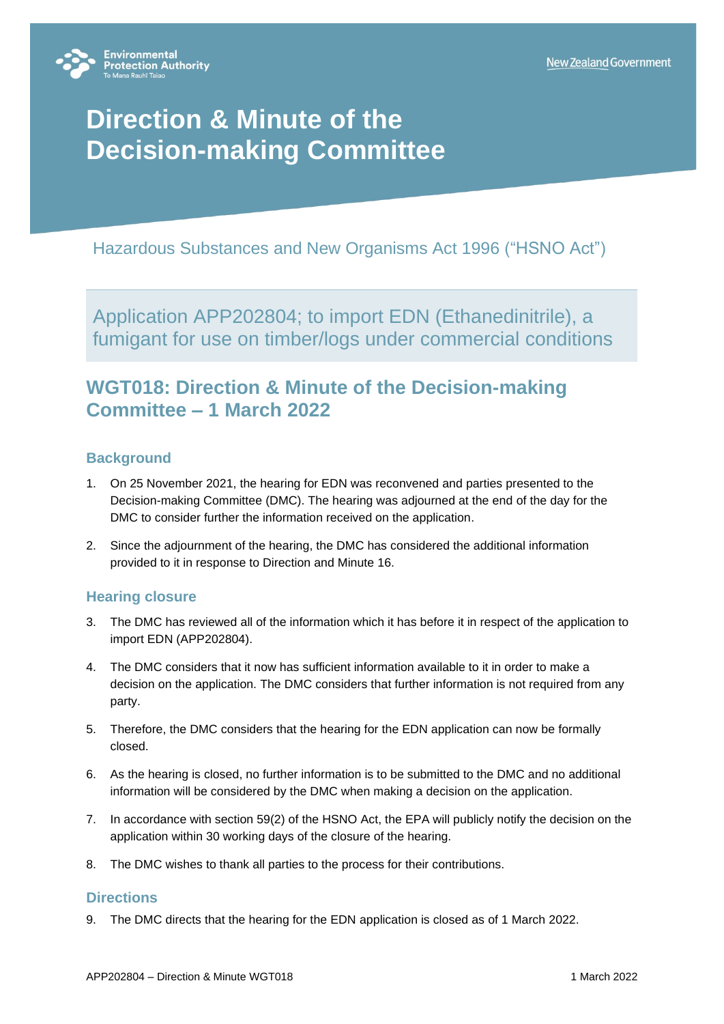

# **Direction & Minute of the Decision-making Committee**

Hazardous Substances and New Organisms Act 1996 ("HSNO Act")

Application APP202804; to import EDN (Ethanedinitrile), a fumigant for use on timber/logs under commercial conditions

## **WGT018: Direction & Minute of the Decision-making Committee – 1 March 2022**

### **Background**

- 1. On 25 November 2021, the hearing for EDN was reconvened and parties presented to the Decision-making Committee (DMC). The hearing was adjourned at the end of the day for the DMC to consider further the information received on the application.
- 2. Since the adjournment of the hearing, the DMC has considered the additional information provided to it in response to Direction and Minute 16.

### **Hearing closure**

- 3. The DMC has reviewed all of the information which it has before it in respect of the application to import EDN (APP202804).
- 4. The DMC considers that it now has sufficient information available to it in order to make a decision on the application. The DMC considers that further information is not required from any party.
- 5. Therefore, the DMC considers that the hearing for the EDN application can now be formally closed.
- 6. As the hearing is closed, no further information is to be submitted to the DMC and no additional information will be considered by the DMC when making a decision on the application.
- 7. In accordance with section 59(2) of the HSNO Act, the EPA will publicly notify the decision on the application within 30 working days of the closure of the hearing.
- 8. The DMC wishes to thank all parties to the process for their contributions.

#### **Directions**

9. The DMC directs that the hearing for the EDN application is closed as of 1 March 2022.